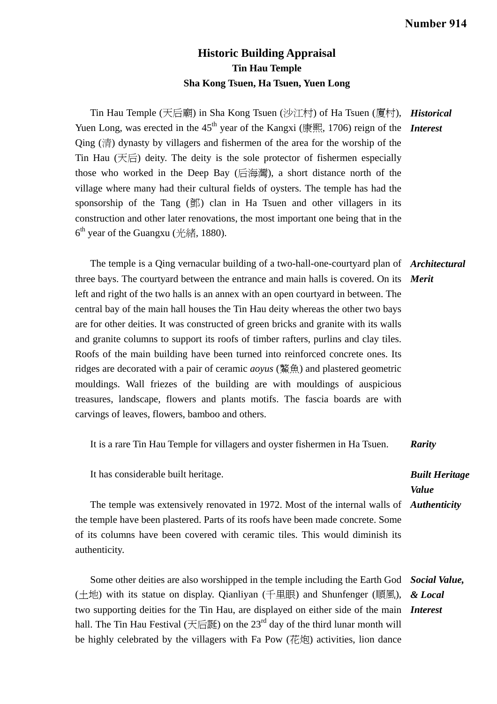## **Historic Building Appraisal Tin Hau Temple Sha Kong Tsuen, Ha Tsuen, Yuen Long**

Tin Hau Temple (天后廟) in Sha Kong Tsuen (沙江村) of Ha Tsuen (廈村), *Historical*  Yuen Long, was erected in the 45<sup>th</sup> year of the Kangxi (康熙, 1706) reign of the **Interest** Qing (清) dynasty by villagers and fishermen of the area for the worship of the Tin Hau (天后) deity. The deity is the sole protector of fishermen especially those who worked in the Deep Bay (后海灣), a short distance north of the village where many had their cultural fields of oysters. The temple has had the sponsorship of the Tang (鄧) clan in Ha Tsuen and other villagers in its construction and other later renovations, the most important one being that in the  $6<sup>th</sup>$  year of the Guangxu (光緒, 1880).

 The temple is a Qing vernacular building of a two-hall-one-courtyard plan of *Architectural*  three bays. The courtyard between the entrance and main halls is covered. On its *Merit*  left and right of the two halls is an annex with an open courtyard in between. The central bay of the main hall houses the Tin Hau deity whereas the other two bays are for other deities. It was constructed of green bricks and granite with its walls and granite columns to support its roofs of timber rafters, purlins and clay tiles. Roofs of the main building have been turned into reinforced concrete ones. Its ridges are decorated with a pair of ceramic *aoyus* (鰲魚) and plastered geometric mouldings. Wall friezes of the building are with mouldings of auspicious treasures, landscape, flowers and plants motifs. The fascia boards are with carvings of leaves, flowers, bamboo and others.

It is a rare Tin Hau Temple for villagers and oyster fishermen in Ha Tsuen. *Rarity* 

It has considerable built heritage.

*Built Heritage Value* 

The temple was extensively renovated in 1972. Most of the internal walls of *Authenticity*  the temple have been plastered. Parts of its roofs have been made concrete. Some of its columns have been covered with ceramic tiles. This would diminish its authenticity.

 Some other deities are also worshipped in the temple including the Earth God *Social Value,*  (土地) with its statue on display. Qianliyan (千里眼) and Shunfenger (順風), two supporting deities for the Tin Hau, are displayed on either side of the main *Interest*  hall. The Tin Hau Festival (天后誕) on the  $23<sup>rd</sup>$  day of the third lunar month will be highly celebrated by the villagers with Fa Pow (花炮) activities, lion dance *& Local*